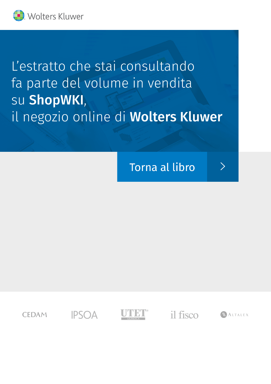

L'estratto che stai consultando fa parte del volume in vendita su ShopWKI, il negozio online di Wolters Kluwer

**Torna al libro** 

 $\left\langle \right\rangle$ 

**CEDAM** 

**IPSOA** 

il fisco

**NALTALEX**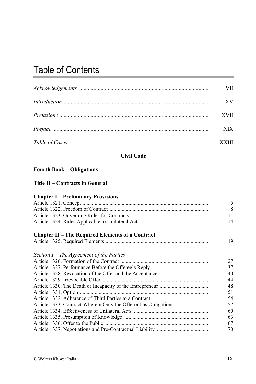# Table of Contents

| VII.         |
|--------------|
| XV           |
| XVII         |
| XIX.         |
| <b>XXIII</b> |

# **Civil Code**

### **Fourth Book – Obligations**

#### **Title II – Contracts in General**

# **Chapter I – Preliminary Provisions**

|                                                         | 5  |
|---------------------------------------------------------|----|
|                                                         | 8  |
|                                                         | 11 |
|                                                         | 14 |
| <b>Chapter II – The Required Elements of a Contract</b> |    |
|                                                         | 19 |
| Section $I$ – The Agreement of the Parties              |    |
|                                                         | 27 |
|                                                         | 37 |
|                                                         | 40 |
|                                                         | 44 |
|                                                         | 48 |
|                                                         | 51 |
|                                                         | 54 |
|                                                         | 57 |
|                                                         | 60 |
|                                                         | 63 |
|                                                         | 67 |
|                                                         | 70 |
|                                                         |    |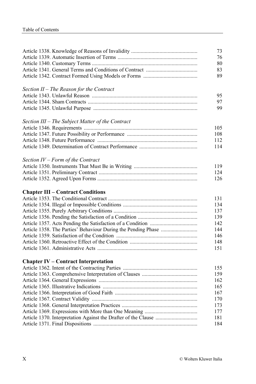|                                                  | 73  |
|--------------------------------------------------|-----|
|                                                  | 76  |
|                                                  | 80  |
|                                                  | 83  |
|                                                  | 89  |
| Section II - The Reason for the Contract         |     |
|                                                  | 95. |
|                                                  | 97  |
|                                                  | 99  |
| Section III - The Subject Matter of the Contract |     |
|                                                  | 105 |
|                                                  | 108 |
|                                                  | 112 |
|                                                  | 114 |
| Section IV - Form of the Contract                |     |
|                                                  | 119 |
|                                                  | 124 |
|                                                  | 126 |
| <b>Chapter III – Contract Conditions</b>         |     |
|                                                  | 131 |
|                                                  | 134 |
|                                                  | 137 |
|                                                  | 139 |
|                                                  | 142 |
|                                                  | 144 |
|                                                  | 146 |
|                                                  | 148 |
|                                                  | 151 |
| <b>Chapter IV – Contract Interpretation</b>      |     |
|                                                  | 155 |
|                                                  | 159 |
|                                                  | 162 |
|                                                  | 165 |
|                                                  | 167 |
|                                                  | 170 |
|                                                  | 173 |
|                                                  | 177 |
|                                                  | 181 |
|                                                  | 184 |
|                                                  |     |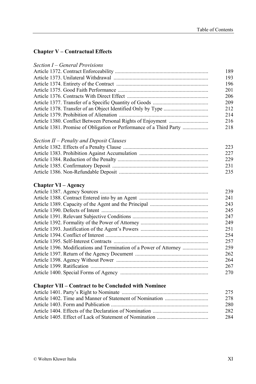# **Chapter V – Contractual Effects**

|                                                                     | 189  |
|---------------------------------------------------------------------|------|
|                                                                     | 193  |
|                                                                     | 196  |
|                                                                     | 201  |
|                                                                     | 206  |
|                                                                     | 209  |
|                                                                     | 2.12 |
|                                                                     | 2.14 |
|                                                                     | 216  |
| Article 1381. Promise of Obligation or Performance of a Third Party | 218  |
|                                                                     |      |

*Section II – Penalty and Deposit Clauses* 

| 223 |
|-----|
| 227 |
| 229 |
| 231 |
| 235 |

# **Chapter VI – Agency**

|                                                                    | 239 |
|--------------------------------------------------------------------|-----|
|                                                                    | 241 |
|                                                                    | 243 |
|                                                                    | 245 |
|                                                                    | 247 |
|                                                                    | 249 |
|                                                                    | 251 |
|                                                                    | 254 |
|                                                                    | 257 |
| Article 1396. Modifications and Termination of a Power of Attorney | 259 |
|                                                                    | 262 |
|                                                                    | 264 |
|                                                                    | 267 |
|                                                                    | 270 |
|                                                                    |     |

# **Chapter VII – Contract to be Concluded with Nominee**

| 275 |
|-----|
| 278 |
| 280 |
| 282 |
| 284 |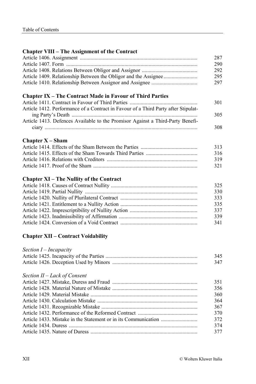#### **Chapter VIII – The Assignment of the Contract**

| 287 |
|-----|
| 290 |
| 292 |
| 295 |
| 297 |
|     |

# **Chapter IX – The Contract Made in Favour of Third Parties**

|                                                                                    | 301  |
|------------------------------------------------------------------------------------|------|
| Article 1412. Performance of a Contract in Favour of a Third Party after Stipulat- |      |
|                                                                                    | 305. |
| Article 1413. Defences Available to the Promisor Against a Third-Party Benefi-     |      |
|                                                                                    | 308  |

## **Chapter X – Sham**

| 313 |
|-----|
| 316 |
| 319 |
| 321 |
|     |

# **Chapter XI – The Nullity of the Contract**

| 325 |
|-----|
| 330 |
| 333 |
| 335 |
| 337 |
| 339 |
| 341 |
|     |

### **Chapter XII – Contract Voidability**

| Section I - Incapacity       |     |
|------------------------------|-----|
|                              | 345 |
|                              | 347 |
| Section II – Lack of Consent |     |
|                              | 351 |
|                              | 356 |
|                              | 360 |
|                              | 364 |
|                              | 367 |
|                              | 370 |
|                              | 372 |
|                              | 374 |
|                              | 377 |
|                              |     |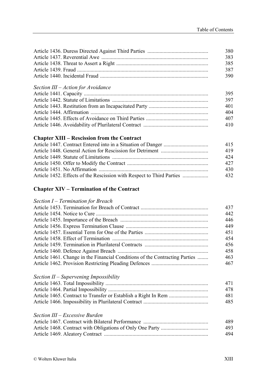| 380 |
|-----|
| 383 |
| 385 |
| 387 |
| 390 |

#### *Section III – Action for Avoidance*

| 395 |
|-----|
| 397 |
| 401 |
| 404 |
| 407 |
| 410 |

# **Chapter XIII – Rescission from the Contract**

|                                                                       | 415  |
|-----------------------------------------------------------------------|------|
|                                                                       | 419  |
|                                                                       | 42.4 |
|                                                                       | 42.7 |
|                                                                       | 430  |
| Article 1452. Effects of the Rescission with Respect to Third Parties | 432. |

### **Chapter XIV – Termination of the Contract**

| Section $I$ – Termination for Breach                                        |     |
|-----------------------------------------------------------------------------|-----|
|                                                                             | 437 |
|                                                                             | 442 |
|                                                                             | 446 |
|                                                                             | 449 |
|                                                                             | 451 |
|                                                                             | 454 |
|                                                                             | 456 |
|                                                                             | 458 |
| Article 1461. Change in the Financial Conditions of the Contracting Parties | 463 |
|                                                                             | 467 |
| Section $II$ – Supervening Impossibility                                    |     |
|                                                                             | 471 |
|                                                                             | 478 |
|                                                                             | 481 |
|                                                                             |     |
|                                                                             | 485 |
| Section III – Excessive Burden                                              |     |
|                                                                             | 489 |
|                                                                             | 493 |
|                                                                             | 494 |
|                                                                             |     |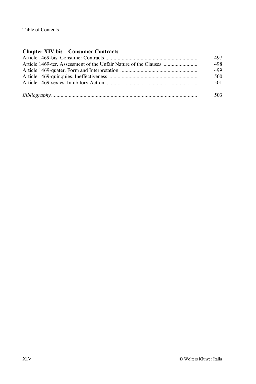# **Chapter XIV bis – Consumer Contracts**

| 497 |
|-----|
| 498 |
| 499 |
| 500 |
| 501 |
| 503 |